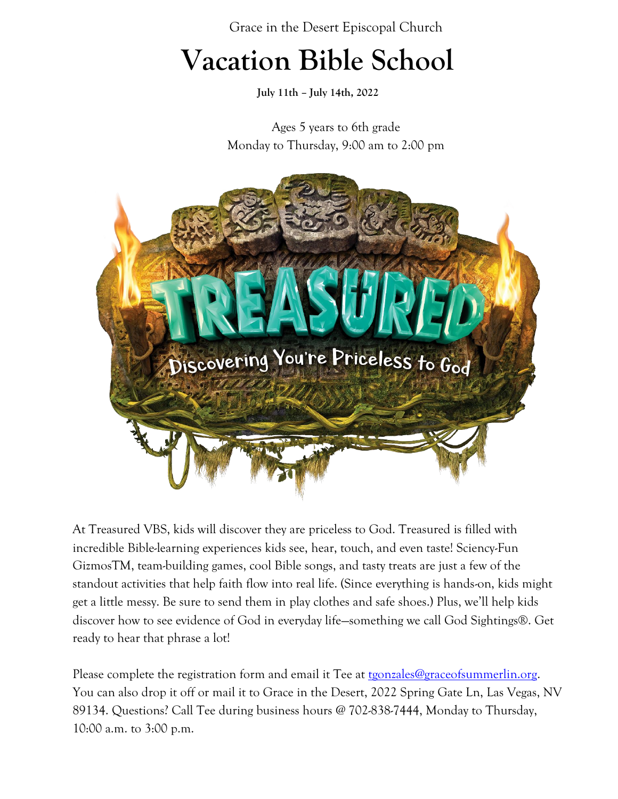### **Vacation Bible School**

**July 11th – July 14th, 2022**

Ages 5 years to 6th grade Monday to Thursday, 9:00 am to 2:00 pm



At Treasured VBS, kids will discover they are priceless to God. Treasured is filled with incredible Bible-learning experiences kids see, hear, touch, and even taste! Sciency-Fun GizmosTM, team-building games, cool Bible songs, and tasty treats are just a few of the standout activities that help faith flow into real life. (Since everything is hands-on, kids might get a little messy. Be sure to send them in play clothes and safe shoes.) Plus, we'll help kids discover how to see evidence of God in everyday life—something we call God Sightings®. Get ready to hear that phrase a lot!

Please complete the registration form and email it Tee at [tgonzales@graceofsummerlin.org.](mailto:tgonzales@graceofsummerlin.org) You can also drop it off or mail it to Grace in the Desert, 2022 Spring Gate Ln, Las Vegas, NV 89134. Questions? Call Tee during business hours @ 702-838-7444, Monday to Thursday, 10:00 a.m. to 3:00 p.m.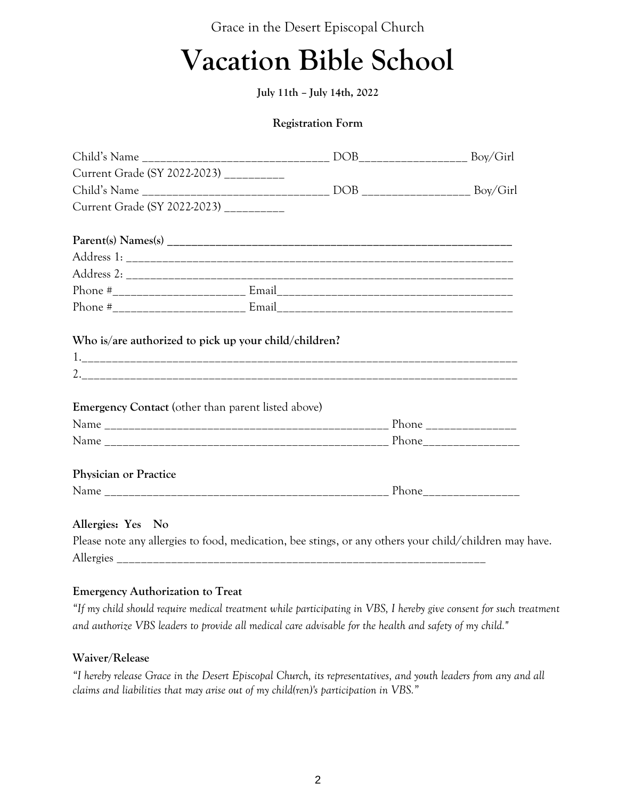### **Vacation Bible School**

**July 11th – July 14th, 2022** 

#### **Registration Form**

| Current Grade (SY 2022-2023) __________                   |                                                                                                        |
|-----------------------------------------------------------|--------------------------------------------------------------------------------------------------------|
|                                                           |                                                                                                        |
| Current Grade (SY 2022-2023) __________                   |                                                                                                        |
|                                                           |                                                                                                        |
|                                                           |                                                                                                        |
|                                                           |                                                                                                        |
|                                                           |                                                                                                        |
|                                                           |                                                                                                        |
|                                                           |                                                                                                        |
| <b>Emergency Contact</b> (other than parent listed above) |                                                                                                        |
|                                                           |                                                                                                        |
| <b>Physician or Practice</b>                              |                                                                                                        |
|                                                           |                                                                                                        |
| Allergies: Yes No                                         |                                                                                                        |
|                                                           | Please note any allergies to food, medication, bee stings, or any others your child/children may have. |

Allergies \_

#### **Emergency Authorization to Treat**

*"If my child should require medical treatment while participating in VBS, I hereby give consent for such treatment and authorize VBS leaders to provide all medical care advisable for the health and safety of my child."*

#### **Waiver/Release**

*"I hereby release Grace in the Desert Episcopal Church, its representatives, and youth leaders from any and all claims and liabilities that may arise out of my child(ren)'s participation in VBS."*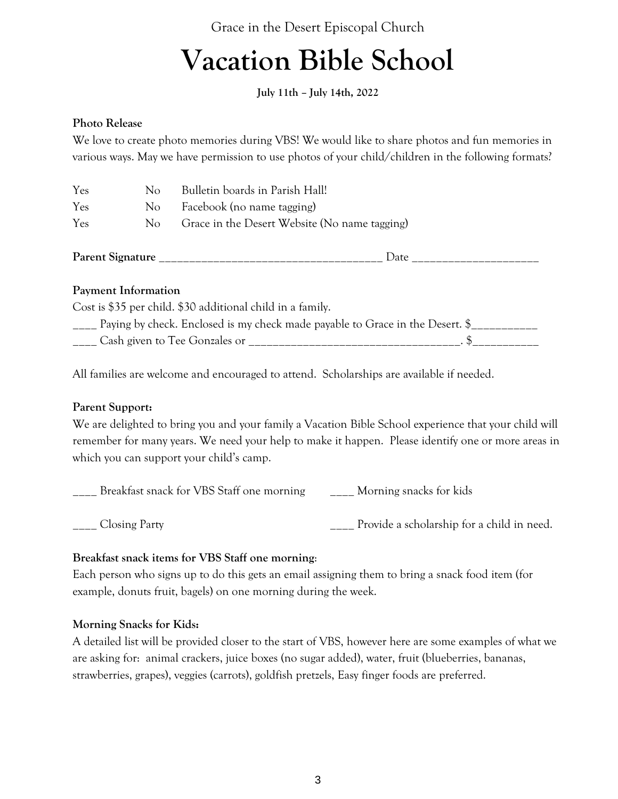## **Vacation Bible School**

**July 11th – July 14th, 2022** 

#### **Photo Release**

We love to create photo memories during VBS! We would like to share photos and fun memories in various ways. May we have permission to use photos of your child/children in the following formats?

| Yes                     | No. | Bulletin boards in Parish Hall!               |
|-------------------------|-----|-----------------------------------------------|
| Yes                     | No  | Facebook (no name tagging)                    |
| Yes                     | No  | Grace in the Desert Website (No name tagging) |
| <b>Parent Signature</b> |     | Date.                                         |

#### **Payment Information**

Cost is \$35 per child. \$30 additional child in a family. \_\_\_\_ Paying by check. Enclosed is my check made payable to Grace in the Desert. \$\_\_\_\_\_\_\_\_\_\_\_ \_\_\_\_ Cash given to Tee Gonzales or \_\_\_\_\_\_\_\_\_\_\_\_\_\_\_\_\_\_\_\_\_\_\_\_\_\_\_\_\_\_\_\_\_\_\_. \$\_\_\_\_\_\_\_\_\_\_\_

All families are welcome and encouraged to attend. Scholarships are available if needed.

#### **Parent Support:**

We are delighted to bring you and your family a Vacation Bible School experience that your child will remember for many years. We need your help to make it happen. Please identify one or more areas in which you can support your child's camp.

\_\_\_\_ Breakfast snack for VBS Staff one morning \_\_\_\_ Morning snacks for kids

\_\_\_\_ Closing Party \_\_\_\_ Provide a scholarship for a child in need.

#### **Breakfast snack items for VBS Staff one morning**:

Each person who signs up to do this gets an email assigning them to bring a snack food item (for example, donuts fruit, bagels) on one morning during the week.

#### **Morning Snacks for Kids:**

A detailed list will be provided closer to the start of VBS, however here are some examples of what we are asking for: animal crackers, juice boxes (no sugar added), water, fruit (blueberries, bananas, strawberries, grapes), veggies (carrots), goldfish pretzels, Easy finger foods are preferred.